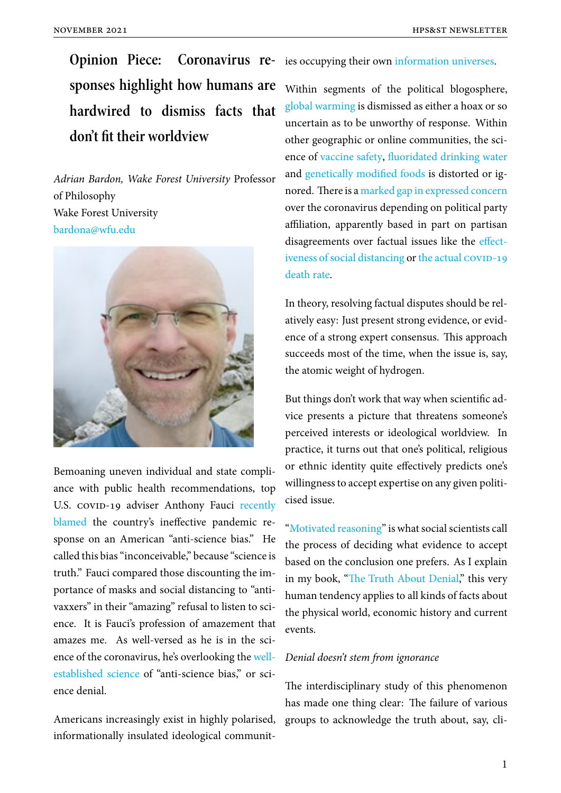**Opinion Piece:** Coronavirus re- ies occupying their own information universes. **sponses highlight how humans are hardwired to dismiss facts that don't fit their worldview**

*Adrian Bardon, Wake Forest University* Professor of Philosophy Wake Forest University bardona@wfu.edu



Bemoaning uneven individual and state compliance with public health recommendations, top U.S. covin-19 adviser Anthony Fauci recently blamed the country's ineffective pandemic response on an American "anti-science bias." He called this bias "inconceivable," because "s[cience is](https://www.cnn.com/2020/06/18/politics/anthony-fauci-coronavirus-anti-science-bias/index.html) [truth." F](https://www.cnn.com/2020/06/18/politics/anthony-fauci-coronavirus-anti-science-bias/index.html)auci compared those discounting the importance of masks and social distancing to "antivaxxers" in their "amazing" refusal to listen to science. It is Fauci's profession of amazement that amazes me. As well-versed as he is in the science of the coronavirus, he's overlooking the wellestablished science of "anti-science bias," or science denial.

[Americans increasi](https://www.motherjones.com/politics/2011/04/denial-science-chris-mooney/)ngly exist in highly polarised, informationally insulated ideological communit-

Within segments of the political blogosphere, global warming is dismi[ssed as either a hoax or](https://www.vox.com/policy-and-politics/2019/11/16/20964281/impeachment-hearings-trump-america-epistemic-crisis) so uncertain as to be unworthy of response. Within other geographic or online communities, the science of [vaccine](https://www.desmogblog.com/heartland-institute) safety, fluoridated drinking water and genetically modified foods is distorted or ignored. There is a marked gap in expressed concern over th[e coronavirus d](https://www.npr.org/tags/399145964/anti-vaccination-movement)[epending on political party](https://blogs.scientificamerican.com/but-not-simpler/why-portland-is-wrong-about-water-fluoridation/) affili[ation, apparently based in](https://www.nationalgeographic.com/culture/food/the-plate/2016/05/17/scientists-say-gmo-foods-are-safe-public-skepticism-remains/) part on partisan disagreements o[ver factual issues like the](https://theconversation.com/coronavirus-new-survey-shows-how-republicans-and-democrats-are-responding-differently-138394) effectiveness of social distancing or the actual COVID-19 death rate.

[In theory, resolving factual](https://www.pewresearch.org/science/2020/06/03/partisan-differences-over-the-pandemic-response-are-growing/ps_2020-06-03_sci-am-trust_00-3/) di[sputes should be rel](https://news.gallup.com/poll/311408/republicans-skeptical-covid-lethality.aspx)[atively eas](https://news.gallup.com/poll/311408/republicans-skeptical-covid-lethality.aspx)y: Just present strong evidence, or evidence of a strong expert consensus. This approach succeeds most of the time, when the issue is, say, the atomic weight of hydrogen.

But things don't work that way when scientific advice presents a picture that threatens someone's perceived interests or ideological worldview. In practice, it turns out that one's political, religious or ethnic identity quite effectively predicts one's willingness to accept expertise on any given politicised issue.

"Motivated reasoning" is what social scientists call the process of deciding what evidence to accept based on the conclusion one prefers. As I explain i[n my book, "The Tru](https://www.psychologytoday.com/us/basics/motivated-reasoning)th About Denial," this very human tendency applies to all kinds of facts about the physical world, economic history and current events.

## *Denial doesn't stem from ignorance*

The interdisciplinary study of this phenomenon has made one thing clear: The failure of various groups to acknowledge the truth about, say, cli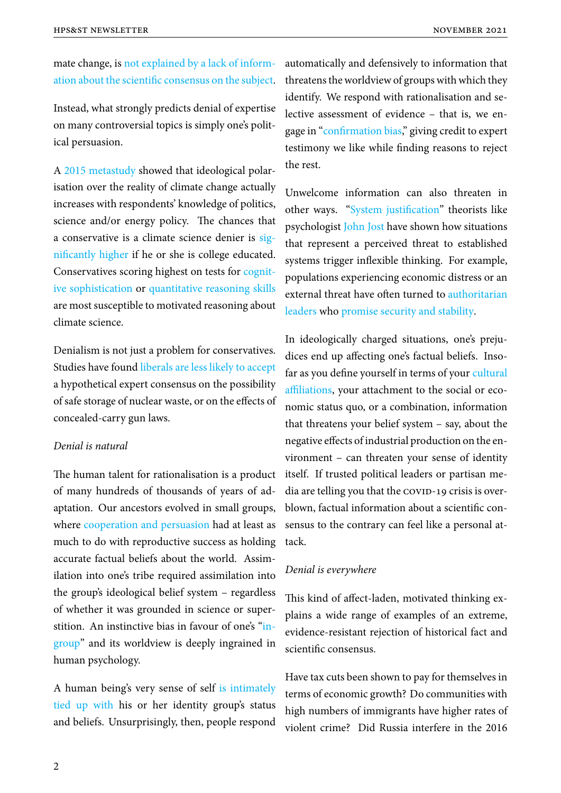mate change, is not explained by a lack of information about the scientific consensus on the subject.

Instead, what st[rongly predicts denial of expertise](https://theconversation.com/facts-versus-feelings-isnt-the-way-to-think-about-communicating-science-80255) [on many controversial topics is simply one's polit](https://theconversation.com/facts-versus-feelings-isnt-the-way-to-think-about-communicating-science-80255)ical persuasion.

A 2015 metastudy showed that ideological polarisation over the reality of climate change actually increases with respondents' knowledge of politics, sc[ience and/or en](https://doi.org/10.1177/0002716214558393)ergy policy. The chances that a conservative is a climate science denier is significantly higher if he or she is college educated. Conservatives scoring highest on tests for cognitive sophistication or quantitative reasoning s[kills](https://www.people-press.org/2008/05/08/a-deeper-partisan-divide-over-global-warming/) [are most suscepti](https://www.people-press.org/2008/05/08/a-deeper-partisan-divide-over-global-warming/)ble to motivated reasoning about climate science.

Denialism is not just a problem for conservatives. Studies have found liberals are less likely to accept a hypothetical expert consensus on the possibility of safe storage of nuclear waste, or on the effects of concealed-carry gu[n laws.](https://doi.org/10.1080/13669877.2010.511246)

## *Denial is natural*

The human talent for rationalisation is a product of many hundreds of thousands of years of adaptation. Our ancestors evolved in small groups, where cooperation and persuasion had at least as much to do with reproductive success as holding accurate factual beliefs about the world. Assimilation [into one's tribe required ass](https://doi.org/10.1017/S0140525X10000968)imilation into the group's ideological belief system – regardless of whether it was grounded in science or superstition. An instinctive bias in favour of one's "ingroup" and its worldview is deeply ingrained in human psychology.

[A hum](https://www.simplypsychology.org/social-identity-theory.html)an being's very sense of self is intimately tied up with his or her identity group's status and beliefs. Unsurprisingly, then, people respond automatically and defensively to information that threatens the worldview of groups with which they identify. We respond with rationalisation and selective assessment of evidence – that is, we engage in "confirmation bias," giving credit to expert testimony we like while finding reasons to reject the rest.

Unwelcome information can also threaten in other ways. "System justification" theorists like psychologist John Jost have shown how situations that represent a perceived threat to established systems trigge[r inflexible thinking](https://www.apa.org/science/about/psa/2017/06/system-justification). For example, populations [experienc](https://scholar.google.com/citations?user=Zh1vTeMAAAAJ&hl=en&oi=ao)ing economic distress or an external threat have often turned to authoritarian leaders who promise security and stability.

In ideologically charged situations[, one's preju](https://doi.org/10.1037/tps0000122)[dices en](https://doi.org/10.1037/tps0000122)d u[p affecting one's factual beliefs](https://medium.com/@bardona/varieties-of-bullsh-t-6fd1cfeb102f?source=friends_link&sk=b6096254e8c3873da683a9dbbc165ac1). Insofar as you define yourself in terms of your cultural affiliations, your attachment to the social or economic status quo, or a combination, information that threatens your belief system – say, a[bout the](https://doi.org/10.1080/13669877.2010.511246) [negative eff](https://doi.org/10.1080/13669877.2010.511246)ects of industrial production on the environment – can threaten your sense of identity itself. If trusted political leaders or partisan me $dia$  are telling you that the  $covID-19$  crisis is overblown, factual information about a scientific consensus to the contrary can feel like a personal attack.

## *Denial is everywhere*

This kind of affect-laden, motivated thinking explains a wide range of examples of an extreme, evidence-resistant rejection of historical fact and scientific consensus.

Have tax cuts been shown to pay for themselves in terms of economic growth? Do communities with high numbers of immigrants have higher rates of violent crime? Did Russia interfere in the 2016